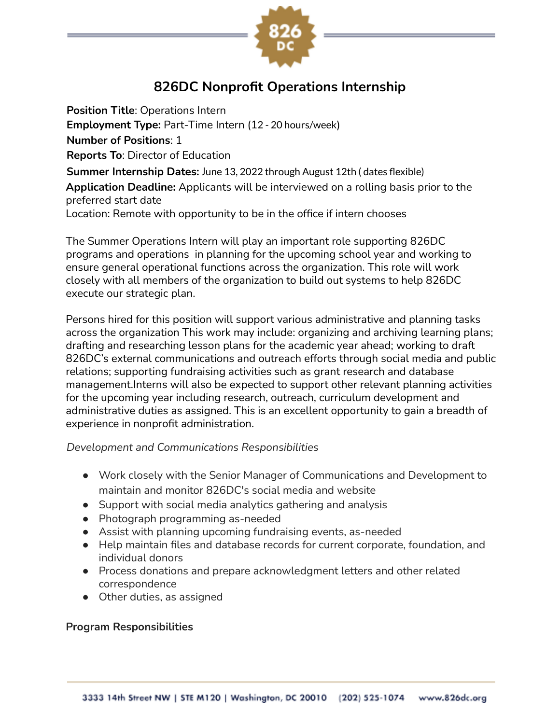

# **826DC Nonprofit Operations Internship**

**Position Title**: Operations Intern **Employment Type:** Part-Time Intern (12 - 20 hours/week) **Number of Positions**: 1 **Reports To**: Director of Education **Summer Internship Dates:** June 13, 2022 through August 12th ( dates flexible) **Application Deadline:** Applicants will be interviewed on a rolling basis prior to the preferred start date Location: Remote with opportunity to be in the office if intern chooses

The Summer Operations Intern will play an important role supporting 826DC programs and operations in planning for the upcoming school year and working to ensure general operational functions across the organization. This role will work closely with all members of the organization to build out systems to help 826DC execute our strategic plan.

Persons hired for this position will support various administrative and planning tasks across the organization This work may include: organizing and archiving learning plans; drafting and researching lesson plans for the academic year ahead; working to draft 826DC's external communications and outreach efforts through social media and public relations; supporting fundraising activities such as grant research and database management.Interns will also be expected to support other relevant planning activities for the upcoming year including research, outreach, curriculum development and administrative duties as assigned. This is an excellent opportunity to gain a breadth of experience in nonprofit administration.

*Development and Communications Responsibilities*

- Work closely with the Senior Manager of Communications and Development to maintain and monitor 826DC's social media and website
- Support with social media analytics gathering and analysis
- Photograph programming as-needed
- Assist with planning upcoming fundraising events, as-needed
- Help maintain files and database records for current corporate, foundation, and individual donors
- Process donations and prepare acknowledgment letters and other related correspondence
- Other duties, as assigned

#### **Program Responsibilities**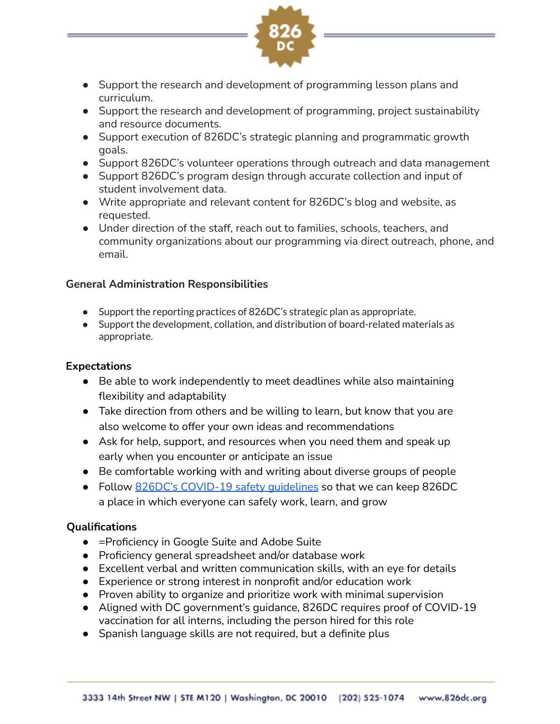

- Support the research and development of programming lesson plans and curriculum.
- Support the research and development of programming, project sustainability and resource documents.
- Support execution of 826DC's strategic planning and programmatic growth goals.
- Support 826DC's volunteer operations through outreach and data management
- Support 826DC's program design through accurate collection and input of student involvement data.
- Write appropriate and relevant content for 826DC's blog and website, as requested.
- Under direction of the staff, reach out to families, schools, teachers, and community organizations about our programming via direct outreach, phone, and email.

## **General Administration Responsibilities**

- Support the reporting practices of 826DC's strategic plan as appropriate.
- Support the development, collation, and distribution of board-related materials as appropriate.

### **Expectations**

- Be able to work independently to meet deadlines while also maintaining flexibility and adaptability
- Take direction from others and be willing to learn, but know that you are also welcome to offer your own ideas and recommendations
- Ask for help, support, and resources when you need them and speak up early when you encounter or anticipate an issue
- Be comfortable working with and writing about diverse groups of people
- Follow 826DC's [COVID-19](http://bit.ly/StayingSafe826DC) safety quidelines so that we can keep 826DC a place in which everyone can safely work, learn, and grow

## **Qualifications**

- =Proficiency in Google Suite and Adobe Suite
- Proficiency general spreadsheet and/or database work
- Excellent verbal and written communication skills, with an eye for details
- Experience or strong interest in nonprofit and/or education work
- Proven ability to organize and prioritize work with minimal supervision
- Aligned with DC government's guidance, 826DC requires proof of COVID-19 vaccination for all interns, including the person hired for this role
- Spanish language skills are not required, but a definite plus